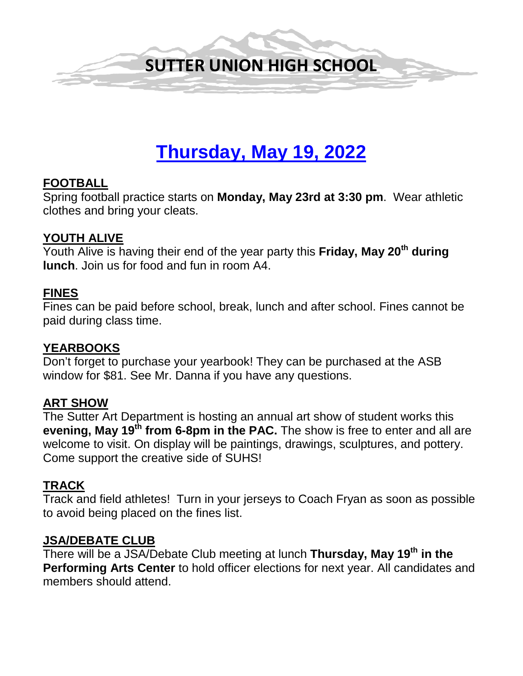

# **Thursday, May 19, 2022**

#### **FOOTBALL**

Spring football practice starts on **Monday, May 23rd at 3:30 pm**. Wear athletic clothes and bring your cleats.

#### **YOUTH ALIVE**

Youth Alive is having their end of the year party this **Friday, May 20th during lunch**. Join us for food and fun in room A4.

#### **FINES**

Fines can be paid before school, break, lunch and after school. Fines cannot be paid during class time.

#### **YEARBOOKS**

Don't forget to purchase your yearbook! They can be purchased at the ASB window for \$81. See Mr. Danna if you have any questions.

## **ART SHOW**

The Sutter Art Department is hosting an annual art show of student works this **evening, May 19th from 6-8pm in the PAC.** The show is free to enter and all are welcome to visit. On display will be paintings, drawings, sculptures, and pottery. Come support the creative side of SUHS!

#### **TRACK**

Track and field athletes! Turn in your jerseys to Coach Fryan as soon as possible to avoid being placed on the fines list.

#### **JSA/DEBATE CLUB**

There will be a JSA/Debate Club meeting at lunch **Thursday, May 19th in the Performing Arts Center** to hold officer elections for next year. All candidates and members should attend.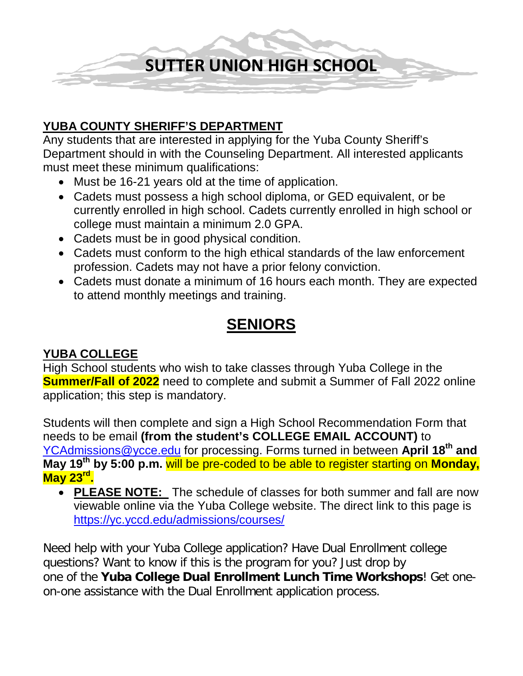

#### **YUBA COUNTY SHERIFF'S DEPARTMENT**

Any students that are interested in applying for the Yuba County Sheriff's Department should in with the Counseling Department. All interested applicants must meet these minimum qualifications:

- Must be 16-21 years old at the time of application.
- Cadets must possess a high school diploma, or GED equivalent, or be currently enrolled in high school. Cadets currently enrolled in high school or college must maintain a minimum 2.0 GPA.
- Cadets must be in good physical condition.
- Cadets must conform to the high ethical standards of the law enforcement profession. Cadets may not have a prior felony conviction.
- Cadets must donate a minimum of 16 hours each month. They are expected to attend monthly meetings and training.

# **SENIORS**

#### **YUBA COLLEGE**

High School students who wish to take classes through Yuba College in the **Summer/Fall of 2022** need to complete and submit a Summer of Fall 2022 online application; this step is mandatory.

Students will then complete and sign a High School Recommendation Form that needs to be email **(from the student's COLLEGE EMAIL ACCOUNT)** to [YCAdmissions@ycce.edu](mailto:YCAdmissions@ycce.edu) for processing. Forms turned in between **April 18th and May 19th by 5:00 p.m.** will be pre-coded to be able to register starting on **Monday, May 23rd.**

• **PLEASE NOTE:** The schedule of classes for both summer and fall are now viewable online via the Yuba College website. The direct link to this page is <https://yc.yccd.edu/admissions/courses/>

Need help with your Yuba College application? Have Dual Enrollment college questions? Want to know if this is the program for you? Just drop by one of the **Yuba College Dual Enrollment Lunch Time Workshops**! Get oneon-one assistance with the Dual Enrollment application process.